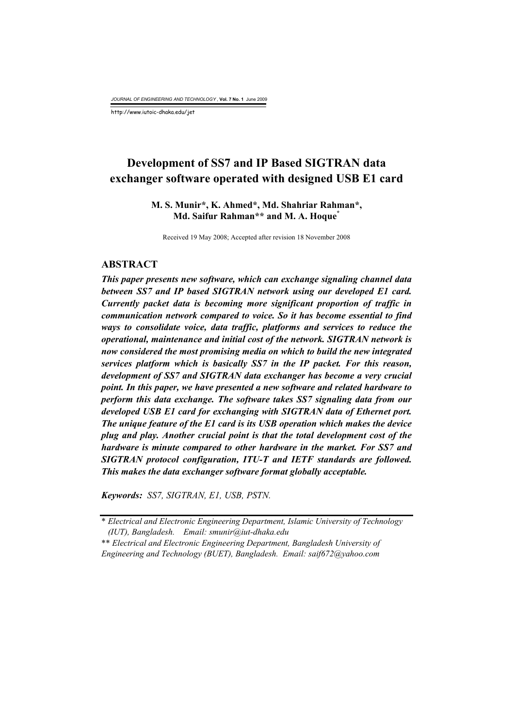*JOURNAL OF ENGINEERING AND TECHNOLOGY* , **Vol. 7 No. 1** June 2009

http://www.iutoic-dhaka.edu/jet

# **Development of SS7 and IP Based SIGTRAN data exchanger software operated with designed USB E1 card**

# **M. S. Munir\*, K. Ahmed\*, Md. Shahriar Rahman\*, Md. Saifur Rahman\*\* and M. A. Hoque\***

Received 19 May 2008; Accepted after revision 18 November 2008

#### **ABSTRACT**

*This paper presents new software, which can exchange signaling channel data between SS7 and IP based SIGTRAN network using our developed E1 card. Currently packet data is becoming more significant proportion of traffic in communication network compared to voice. So it has become essential to find ways to consolidate voice, data traffic, platforms and services to reduce the operational, maintenance and initial cost of the network. SIGTRAN network is now considered the most promising media on which to build the new integrated services platform which is basically SS7 in the IP packet. For this reason, development of SS7 and SIGTRAN data exchanger has become a very crucial point. In this paper, we have presented a new software and related hardware to perform this data exchange. The software takes SS7 signaling data from our developed USB E1 card for exchanging with SIGTRAN data of Ethernet port. The unique feature of the E1 card is its USB operation which makes the device plug and play. Another crucial point is that the total development cost of the hardware is minute compared to other hardware in the market. For SS7 and SIGTRAN protocol configuration, ITU-T and IETF standards are followed. This makes the data exchanger software format globally acceptable.* 

*Keywords: SS7, SIGTRAN, E1, USB, PSTN.* 

<sup>\*</sup> *Electrical and Electronic Engineering Department, Islamic University of Technology (IUT), Bangladesh. Email: smunir@iut-dhaka.edu*

<sup>\*\*</sup> *Electrical and Electronic Engineering Department, Bangladesh University of Engineering and Technology (BUET), Bangladesh. Email: saif672@yahoo.com*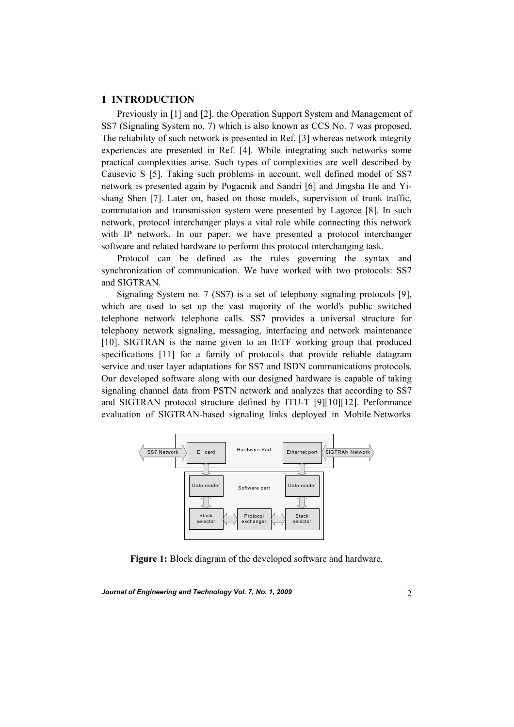## **1 INTRODUCTION**

 Previously in [1] and [2], the Operation Support System and Management of SS7 (Signaling System no. 7) which is also known as CCS No. 7 was proposed. The reliability of such network is presented in Ref. [3] whereas network integrity experiences are presented in Ref. [4]. While integrating such networks some practical complexities arise. Such types of complexities are well described by Causevic S [5]. Taking such problems in account, well defined model of SS7 network is presented again by Pogacnik and Sandri [6] and Jingsha He and Yishang Shen [7]. Later on, based on those models, supervision of trunk traffic, commutation and transmission system were presented by Lagorce [8]. In such network, protocol interchanger plays a vital role while connecting this network with IP network. In our paper, we have presented a protocol interchanger software and related hardware to perform this protocol interchanging task.

 Protocol can be defined as the rules governing the syntax and synchronization of communication. We have worked with two protocols: SS7 and SIGTRAN.

 Signaling System no. 7 (SS7) is a set of telephony signaling protocols [9], which are used to set up the vast majority of the world's public switched telephone network telephone calls. SS7 provides a universal structure for telephony network signaling, messaging, interfacing and network maintenance [10]. SIGTRAN is the name given to an IETF working group that produced specifications [11] for a family of protocols that provide reliable datagram service and user layer adaptations for SS7 and ISDN communications protocols. Our developed software along with our designed hardware is capable of taking signaling channel data from PSTN network and analyzes that according to SS7 and SIGTRAN protocol structure defined by ITU-T [9][10][12]. Performance evaluation of SIGTRAN-based signaling links deployed in Mobile Networks



**Figure 1:** Block diagram of the developed software and hardware.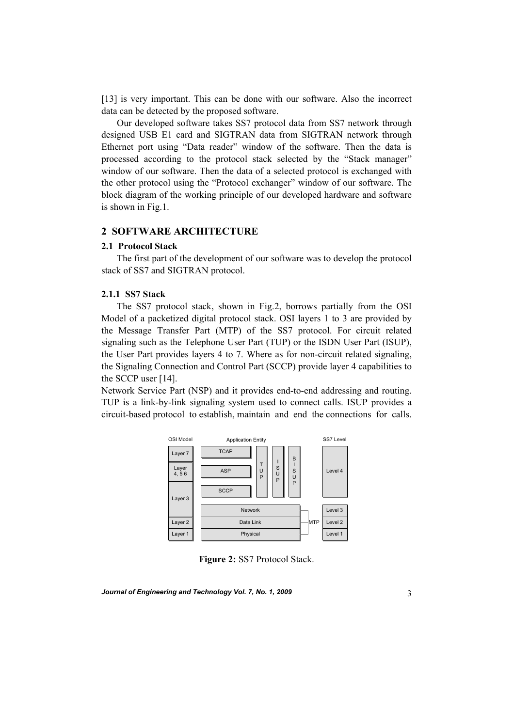[13] is very important. This can be done with our software. Also the incorrect data can be detected by the proposed software.

 Our developed software takes SS7 protocol data from SS7 network through designed USB E1 card and SIGTRAN data from SIGTRAN network through Ethernet port using "Data reader" window of the software. Then the data is processed according to the protocol stack selected by the "Stack manager" window of our software. Then the data of a selected protocol is exchanged with the other protocol using the "Protocol exchanger" window of our software. The block diagram of the working principle of our developed hardware and software is shown in Fig.1.

# **2 SOFTWARE ARCHITECTURE**

#### **2.1 Protocol Stack**

 The first part of the development of our software was to develop the protocol stack of SS7 and SIGTRAN protocol.

#### **2.1.1 SS7 Stack**

The SS7 protocol stack, shown in Fig.2, borrows partially from the OSI Model of a packetized digital protocol stack. OSI layers 1 to 3 are provided by the Message Transfer Part (MTP) of the SS7 protocol. For circuit related signaling such as the Telephone User Part (TUP) or the ISDN User Part (ISUP), the User Part provides layers 4 to 7. Where as for non-circuit related signaling, the Signaling Connection and Control Part (SCCP) provide layer 4 capabilities to the SCCP user [14].

Network Service Part (NSP) and it provides end-to-end addressing and routing. TUP is a link-by-link signaling system used to connect calls. ISUP provides a circuit-based protocol to establish, maintain and end the connections for calls.



**Figure 2:** SS7 Protocol Stack.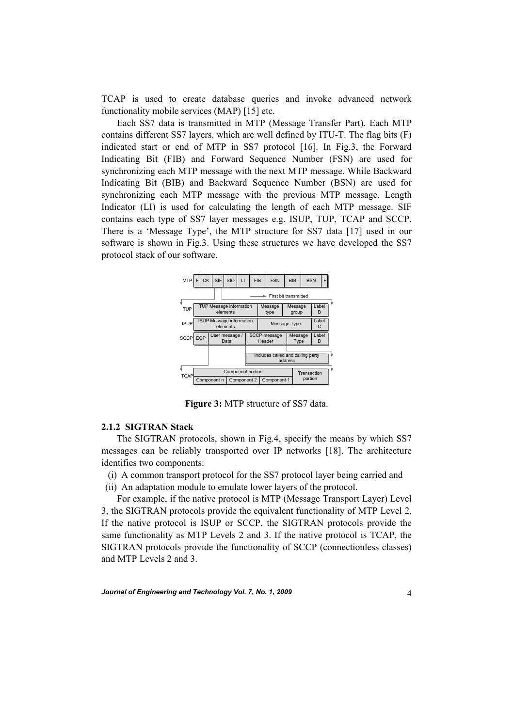TCAP is used to create database queries and invoke advanced network functionality mobile services (MAP) [15] etc.

 Each SS7 data is transmitted in MTP (Message Transfer Part). Each MTP contains different SS7 layers, which are well defined by ITU-T. The flag bits (F) indicated start or end of MTP in SS7 protocol [16]. In Fig.3, the Forward Indicating Bit (FIB) and Forward Sequence Number (FSN) are used for synchronizing each MTP message with the next MTP message. While Backward Indicating Bit (BIB) and Backward Sequence Number (BSN) are used for synchronizing each MTP message with the previous MTP message. Length Indicator (LI) is used for calculating the length of each MTP message. SIF contains each type of SS7 layer messages e.g. ISUP, TUP, TCAP and SCCP. There is a 'Message Type', the MTP structure for SS7 data [17] used in our software is shown in Fig.3. Using these structures we have developed the SS7 protocol stack of our software.



**Figure 3:** MTP structure of SS7 data.

### **2.1.2 SIGTRAN Stack**

 The SIGTRAN protocols, shown in Fig.4, specify the means by which SS7 messages can be reliably transported over IP networks [18]. The architecture identifies two components:

(i) A common transport protocol for the SS7 protocol layer being carried and

(ii) An adaptation module to emulate lower layers of the protocol.

 For example, if the native protocol is MTP (Message Transport Layer) Level 3, the SIGTRAN protocols provide the equivalent functionality of MTP Level 2. If the native protocol is ISUP or SCCP, the SIGTRAN protocols provide the same functionality as MTP Levels 2 and 3. If the native protocol is TCAP, the SIGTRAN protocols provide the functionality of SCCP (connectionless classes) and MTP Levels 2 and 3.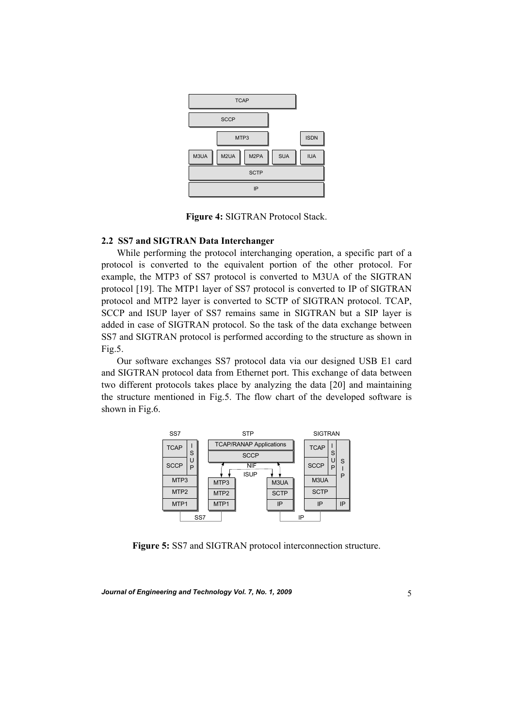

**Figure 4:** SIGTRAN Protocol Stack.

# **2.2 SS7 and SIGTRAN Data Interchanger**

 While performing the protocol interchanging operation, a specific part of a protocol is converted to the equivalent portion of the other protocol. For example, the MTP3 of SS7 protocol is converted to M3UA of the SIGTRAN protocol [19]. The MTP1 layer of SS7 protocol is converted to IP of SIGTRAN protocol and MTP2 layer is converted to SCTP of SIGTRAN protocol. TCAP, SCCP and ISUP layer of SS7 remains same in SIGTRAN but a SIP layer is added in case of SIGTRAN protocol. So the task of the data exchange between SS7 and SIGTRAN protocol is performed according to the structure as shown in Fig.5.

 Our software exchanges SS7 protocol data via our designed USB E1 card and SIGTRAN protocol data from Ethernet port. This exchange of data between two different protocols takes place by analyzing the data [20] and maintaining the structure mentioned in Fig.5. The flow chart of the developed software is shown in Fig.6.



**Figure 5:** SS7 and SIGTRAN protocol interconnection structure.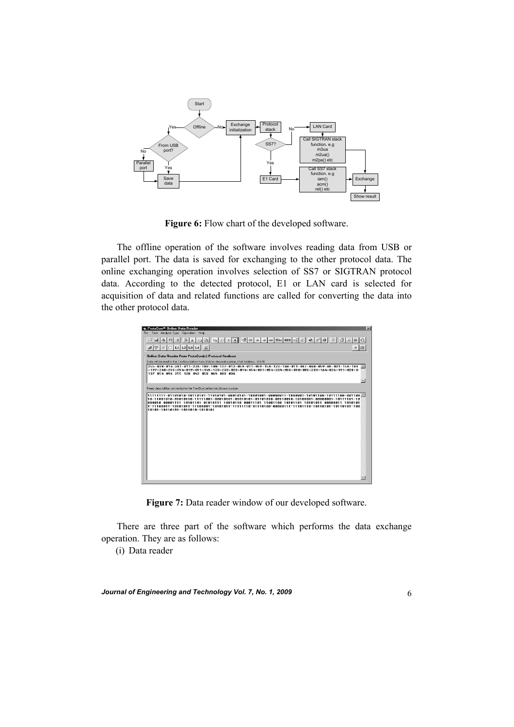

**Figure 6:** Flow chart of the developed software.

 The offline operation of the software involves reading data from USB or parallel port. The data is saved for exchanging to the other protocol data. The online exchanging operation involves selection of SS7 or SIGTRAN protocol data. According to the detected protocol, E1 or LAN card is selected for acquisition of data and related functions are called for converting the data into the other protocol data.

| <b>a. ProtoCom<sup>®</sup> Online Data Reader</b>                                                                                                                                                                                             | $\overline{\mathbf{x}}$ |
|-----------------------------------------------------------------------------------------------------------------------------------------------------------------------------------------------------------------------------------------------|-------------------------|
| File Tool Analysis Type Operation Help                                                                                                                                                                                                        |                         |
| 面溫<br><b>MA</b> 44<br>J + D ⊡ L1 L2 L3 L4 E                                                                                                                                                                                                   |                         |
| Online Data Reader From ProtoComfc) Protocol Analyzer                                                                                                                                                                                         |                         |
| Data will be read to the TextBox bellow from USB in decimal number, Port Address ; H3/8.                                                                                                                                                      |                         |
| 255-028-014-241-011-234-189-100-127-012-059-011-059-154-123-148-011-087-048-059-06-021-156-189<br>$-197-248-255-254-019-091-145-123-233-023-014-054-031-054-234-056-010-085-231-164-026-191-028-0$<br>137 854 896 255 128 842 858 864 889 836 |                         |
| Read data will be converted to the TextBox bellow into binary number.                                                                                                                                                                         |                         |
| 10101-10110101-1011010-1010101                                                                                                                                                                                                                |                         |

**Figure 7:** Data reader window of our developed software.

 There are three part of the software which performs the data exchange operation. They are as follows:

(i) Data reader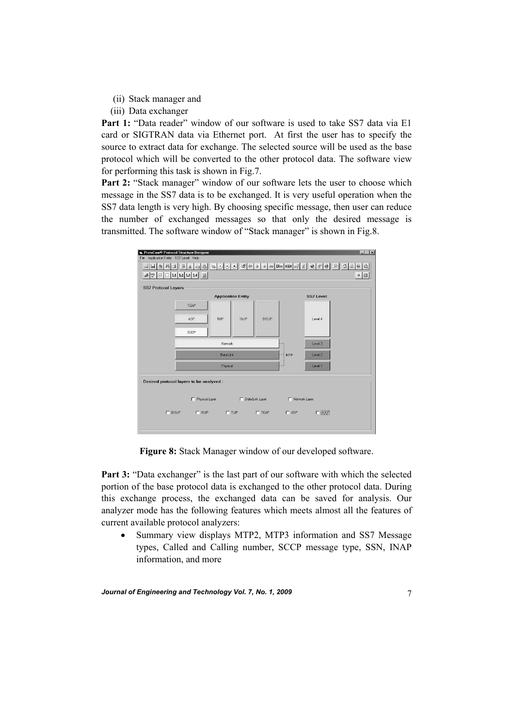- (ii) Stack manager and
- (iii) Data exchanger

**Part 1:** "Data reader" window of our software is used to take SS7 data via E1 card or SIGTRAN data via Ethernet port. At first the user has to specify the source to extract data for exchange. The selected source will be used as the base protocol which will be converted to the other protocol data. The software view for performing this task is shown in Fig.7.

Part 2: "Stack manager" window of our software lets the user to choose which message in the SS7 data is to be exchanged. It is very useful operation when the SS7 data length is very high. By choosing specific message, then user can reduce the number of exchanged messages so that only the desired message is transmitted. The software window of "Stack manager" is shown in Fig.8.



**Figure 8:** Stack Manager window of our developed software.

**Part 3:** "Data exchanger" is the last part of our software with which the selected portion of the base protocol data is exchanged to the other protocol data. During this exchange process, the exchanged data can be saved for analysis. Our analyzer mode has the following features which meets almost all the features of current available protocol analyzers:

Summary view displays MTP2, MTP3 information and SS7 Message types, Called and Calling number, SCCP message type, SSN, INAP information, and more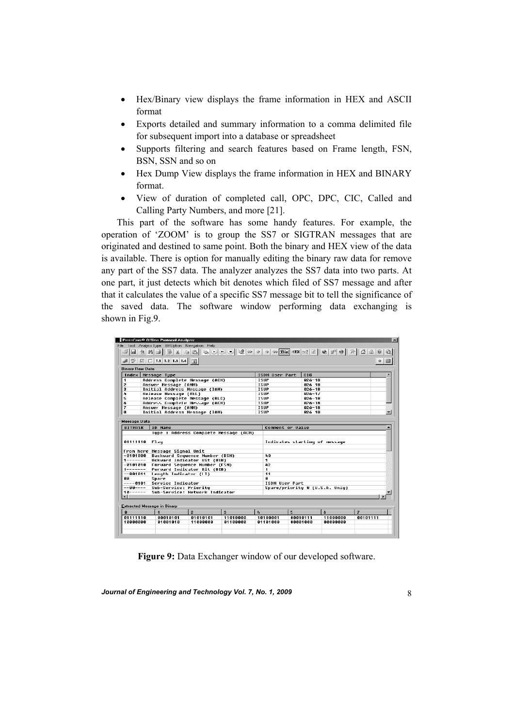- Hex/Binary view displays the frame information in HEX and ASCII format
- Exports detailed and summary information to a comma delimited file for subsequent import into a database or spreadsheet
- Supports filtering and search features based on Frame length, FSN, BSN, SSN and so on
- Hex Dump View displays the frame information in HEX and BINARY format.
- View of duration of completed call, OPC, DPC, CIC, Called and Calling Party Numbers, and more [21].

 This part of the software has some handy features. For example, the operation of 'ZOOM' is to group the SS7 or SIGTRAN messages that are originated and destined to same point. Both the binary and HEX view of the data is available. There is option for manually editing the binary raw data for remove any part of the SS7 data. The analyzer analyzes the SS7 data into two parts. At one part, it just detects which bit denotes which filed of SS7 message and after that it calculates the value of a specific SS7 message bit to tell the significance of the saved data. The software window performing data exchanging is shown in Fig.9.

| ProtoCom® Offline Protocol Analyzer                                                                                                                                                                   |                                                                                |                |                                       |                             |                  |                          |                                |                         |
|-------------------------------------------------------------------------------------------------------------------------------------------------------------------------------------------------------|--------------------------------------------------------------------------------|----------------|---------------------------------------|-----------------------------|------------------|--------------------------|--------------------------------|-------------------------|
|                                                                                                                                                                                                       | File Tool Analyss Type Bit Uption Navigation Help                              |                |                                       |                             |                  |                          |                                |                         |
| $\mathbb{Z}$ d $\mathbb{H}$ a $\mathbb{E}$                                                                                                                                                            |                                                                                |                |                                       |                             |                  |                          |                                |                         |
|                                                                                                                                                                                                       |                                                                                |                |                                       |                             |                  |                          |                                |                         |
|                                                                                                                                                                                                       | $\boxed{\cup}$ $\boxed{\cup}$ L1 L2 L3 L4 $\boxed{\cup}$                       |                |                                       |                             |                  |                          |                                | 0                       |
| <b>Dinary Daw Dota</b>                                                                                                                                                                                |                                                                                |                |                                       |                             |                  |                          |                                |                         |
| Index                                                                                                                                                                                                 | <b>Message Type</b>                                                            | ISDN User Part |                                       | CIC                         |                  |                          |                                |                         |
| 1                                                                                                                                                                                                     | Address Complete Message (ACM)                                                 |                |                                       | <b>ISUP</b>                 |                  | $026 - 18$               |                                |                         |
| $\overline{2}$                                                                                                                                                                                        | Answer Message (ANM)                                                           |                |                                       | <b>ISUP</b>                 |                  | 826 18                   |                                |                         |
| $\bf{a}$                                                                                                                                                                                              | Initial Address Message (IAM)                                                  |                |                                       | ISUP                        |                  | $826 - 18$               |                                |                         |
| л                                                                                                                                                                                                     | <b>Kelease Message (KEL)</b>                                                   |                |                                       | <b>1206</b>                 |                  | $826 - 11$               |                                |                         |
| 5                                                                                                                                                                                                     | Release Complete Message (RLC)                                                 |                |                                       | ISUP                        |                  | $026 - 18$               |                                |                         |
| ň<br>$\overline{\mathbf{z}}$                                                                                                                                                                          | Address Complete Message (ACN)<br>Answer Message (ANM)                         |                |                                       | <b>TSIIP</b><br><b>ISUP</b> |                  | $026 - 18$<br>$026 - 18$ |                                |                         |
| 8                                                                                                                                                                                                     | Initial Address Message (IAM)                                                  |                |                                       | <b>ISUP</b>                 |                  | 826 18                   |                                |                         |
|                                                                                                                                                                                                       |                                                                                |                |                                       |                             |                  |                          |                                |                         |
| Message Data                                                                                                                                                                                          |                                                                                |                |                                       |                             |                  |                          |                                |                         |
|                                                                                                                                                                                                       |                                                                                |                |                                       |                             |                  |                          |                                |                         |
|                                                                                                                                                                                                       |                                                                                |                |                                       |                             |                  |                          |                                |                         |
|                                                                                                                                                                                                       | <b>ID Name</b>                                                                 |                | lupe : Address Complete Message (ACM) |                             | Comment or Value |                          |                                |                         |
|                                                                                                                                                                                                       |                                                                                |                |                                       |                             |                  |                          | Indicates starting of message  |                         |
|                                                                                                                                                                                                       | From here Message Signal Unit                                                  |                |                                       |                             |                  |                          |                                |                         |
|                                                                                                                                                                                                       | -0101000 Backward Sequence Number (BSN)                                        |                |                                       | 40<br>1.                    |                  |                          |                                |                         |
|                                                                                                                                                                                                       | 1------- Bckward Indicator Bit (BIB)<br>-0101010 Forward Sequence Number (FSN) |                |                                       | 42                          |                  |                          |                                |                         |
|                                                                                                                                                                                                       | Furward Indicatur Bit (BIB)                                                    |                |                                       | $\mathbf{1}$                |                  |                          |                                |                         |
|                                                                                                                                                                                                       | length Indicator (LI)                                                          |                |                                       | 11                          |                  |                          |                                |                         |
|                                                                                                                                                                                                       | Spare                                                                          |                |                                       | $\mathbf{a}$                |                  |                          |                                |                         |
|                                                                                                                                                                                                       | ----0101 Service Indicator                                                     |                |                                       | <b>ISDN Heer Part</b>       |                  |                          |                                |                         |
|                                                                                                                                                                                                       | Sub-Service: Prioritu                                                          |                |                                       |                             |                  |                          | Spare/priority 0 (U.S.A. Unlu) |                         |
|                                                                                                                                                                                                       | Sub-Service: Network Indicator                                                 |                |                                       |                             |                  |                          |                                |                         |
|                                                                                                                                                                                                       |                                                                                |                |                                       |                             |                  |                          |                                |                         |
|                                                                                                                                                                                                       |                                                                                |                |                                       |                             |                  |                          |                                |                         |
|                                                                                                                                                                                                       | $\mathbf{1}$                                                                   | $\overline{2}$ | $\mathbf{a}$                          | $\mathbf{z}_4$              | 5                |                          | 6                              | $\overline{\mathbf{z}}$ |
|                                                                                                                                                                                                       | 88818181                                                                       | 01010101       | 11010000                              | 10100001                    | 88818111         |                          | 11000000                       | 88181111                |
| <b>BITMASK</b><br>01111110 Flau<br>$1$ -------<br>$- - 001011$<br>nп.<br>$--$ uu $---$<br>$10$ ------<br>$\blacksquare$<br><b>Extracted Message in Dinary</b><br>$\mathbf{a}$<br>01111110<br>10000000 | 81881818                                                                       | 11000000       | 01100000                              | 01101000                    | 88881888         |                          | 88888888                       |                         |

**Figure 9:** Data Exchanger window of our developed software.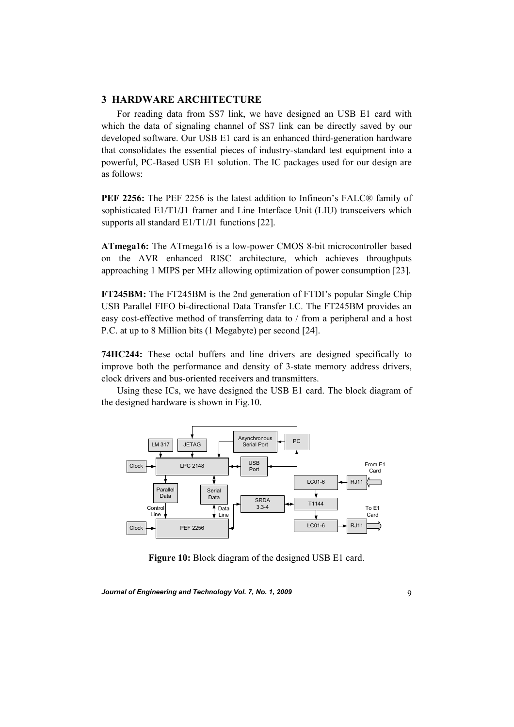## **3 HARDWARE ARCHITECTURE**

 For reading data from SS7 link, we have designed an USB E1 card with which the data of signaling channel of SS7 link can be directly saved by our developed software. Our USB E1 card is an enhanced third-generation hardware that consolidates the essential pieces of industry-standard test equipment into a powerful, PC-Based USB E1 solution. The IC packages used for our design are as follows:

**PEF 2256:** The PEF 2256 is the latest addition to Infineon's FALC® family of sophisticated E1/T1/J1 framer and Line Interface Unit (LIU) transceivers which supports all standard E1/T1/J1 functions [22].

**ATmega16:** The ATmega16 is a low-power CMOS 8-bit microcontroller based on the AVR enhanced RISC architecture, which achieves throughputs approaching 1 MIPS per MHz allowing optimization of power consumption [23].

**FT245BM:** The FT245BM is the 2nd generation of FTDI's popular Single Chip USB Parallel FIFO bi-directional Data Transfer I.C. The FT245BM provides an easy cost-effective method of transferring data to / from a peripheral and a host P.C. at up to 8 Million bits (1 Megabyte) per second [24].

**74HC244:** These octal buffers and line drivers are designed specifically to improve both the performance and density of 3-state memory address drivers, clock drivers and bus-oriented receivers and transmitters.

 Using these ICs, we have designed the USB E1 card. The block diagram of the designed hardware is shown in Fig.10.



**Figure 10:** Block diagram of the designed USB E1 card.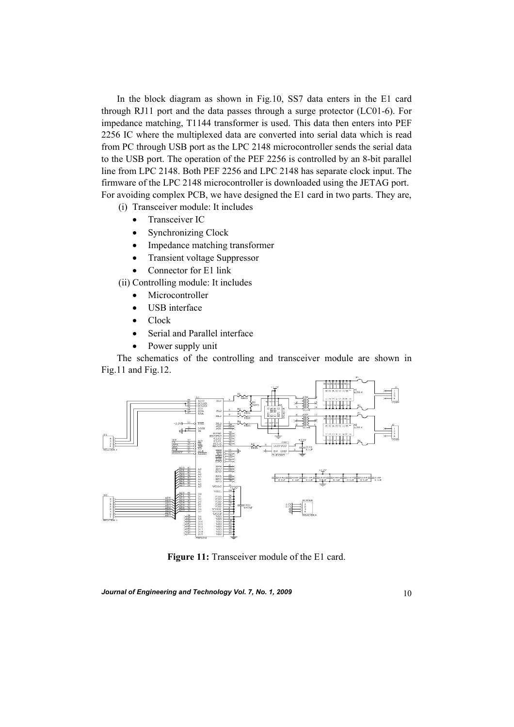In the block diagram as shown in Fig.10, SS7 data enters in the E1 card through RJ11 port and the data passes through a surge protector (LC01-6). For impedance matching, T1144 transformer is used. This data then enters into PEF 2256 IC where the multiplexed data are converted into serial data which is read from PC through USB port as the LPC 2148 microcontroller sends the serial data to the USB port. The operation of the PEF 2256 is controlled by an 8-bit parallel line from LPC 2148. Both PEF 2256 and LPC 2148 has separate clock input. The firmware of the LPC 2148 microcontroller is downloaded using the JETAG port. For avoiding complex PCB, we have designed the E1 card in two parts. They are,

(i) Transceiver module: It includes

- Transceiver IC
- Synchronizing Clock
- Impedance matching transformer
- Transient voltage Suppressor
- Connector for E1 link

(ii) Controlling module: It includes

- Microcontroller
- USB interface
- Clock
- Serial and Parallel interface
- Power supply unit

 The schematics of the controlling and transceiver module are shown in Fig.11 and Fig.12.



**Figure 11:** Transceiver module of the E1 card.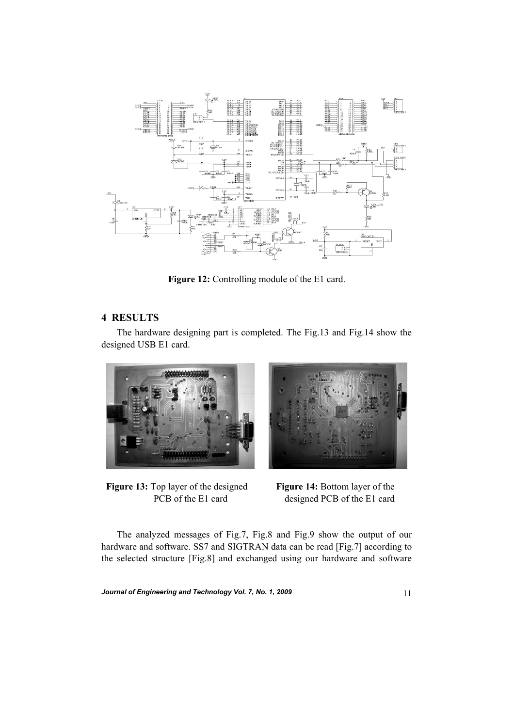

**Figure 12:** Controlling module of the E1 card.

# **4 RESULTS**

 The hardware designing part is completed. The Fig.13 and Fig.14 show the designed USB E1 card.



**Figure 13:** Top layer of the designed **Figure 14:** Bottom layer of the

PCB of the E1 card designed PCB of the E1 card

 The analyzed messages of Fig.7, Fig.8 and Fig.9 show the output of our hardware and software. SS7 and SIGTRAN data can be read [Fig.7] according to the selected structure [Fig.8] and exchanged using our hardware and software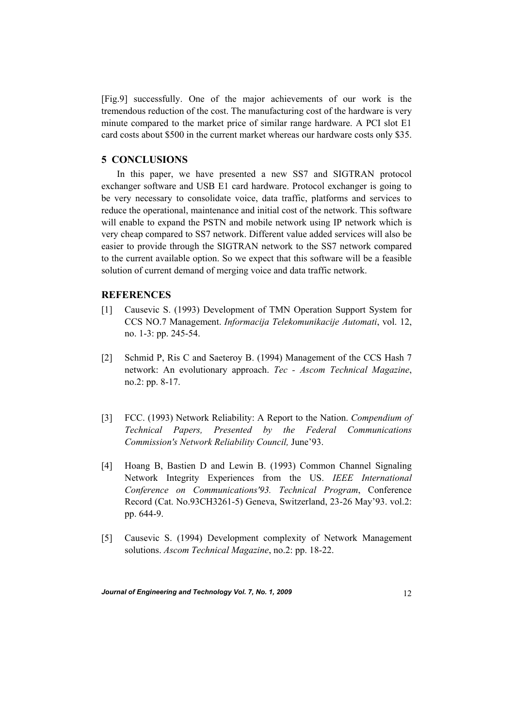[Fig.9] successfully. One of the major achievements of our work is the tremendous reduction of the cost. The manufacturing cost of the hardware is very minute compared to the market price of similar range hardware. A PCI slot E1 card costs about \$500 in the current market whereas our hardware costs only \$35.

# **5 CONCLUSIONS**

 In this paper, we have presented a new SS7 and SIGTRAN protocol exchanger software and USB E1 card hardware. Protocol exchanger is going to be very necessary to consolidate voice, data traffic, platforms and services to reduce the operational, maintenance and initial cost of the network. This software will enable to expand the PSTN and mobile network using IP network which is very cheap compared to SS7 network. Different value added services will also be easier to provide through the SIGTRAN network to the SS7 network compared to the current available option. So we expect that this software will be a feasible solution of current demand of merging voice and data traffic network.

#### **REFERENCES**

- [1] Causevic S. (1993) Development of TMN Operation Support System for CCS NO.7 Management. *Informacija Telekomunikacije Automati*, vol. 12, no. 1-3: pp. 245-54.
- [2] Schmid P, Ris C and Saeteroy B. (1994) Management of the CCS Hash 7 network: An evolutionary approach. *Tec - Ascom Technical Magazine*, no.2: pp. 8-17.
- [3] FCC. (1993) Network Reliability: A Report to the Nation. *Compendium of Technical Papers, Presented by the Federal Communications Commission's Network Reliability Council,* June'93.
- [4] Hoang B, Bastien D and Lewin B. (1993) Common Channel Signaling Network Integrity Experiences from the US. *IEEE International Conference on Communications'93. Technical Program*, Conference Record (Cat. No.93CH3261-5) Geneva, Switzerland, 23-26 May'93. vol.2: pp. 644-9.
- [5] Causevic S. (1994) Development complexity of Network Management solutions. *Ascom Technical Magazine*, no.2: pp. 18-22.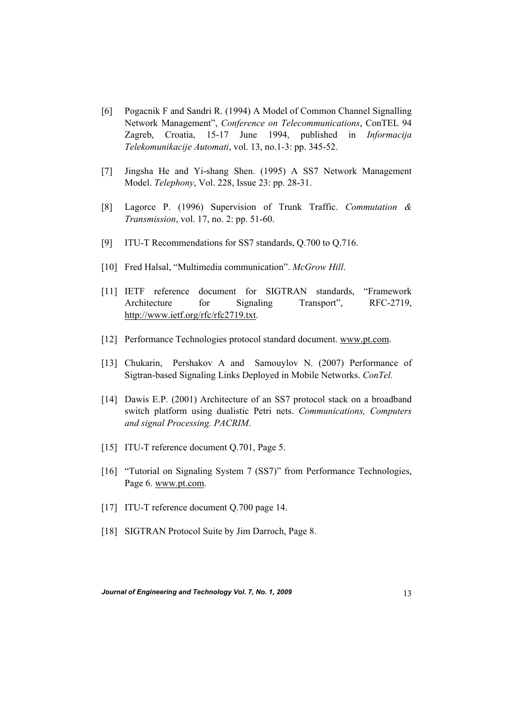- [6] Pogacnik F and Sandri R. (1994) A Model of Common Channel Signalling Network Management", *Conference on Telecommunications*, ConTEL 94 Zagreb, Croatia, 15-17 June 1994, published in *Informacija Telekomunikacije Automati*, vol. 13, no.1-3: pp. 345-52.
- [7] Jingsha He and Yi-shang Shen. (1995) A SS7 Network Management Model. *Telephony*, Vol. 228, Issue 23: pp. 28-31.
- [8] Lagorce P. (1996) Supervision of Trunk Traffic. *Commutation & Transmission*, vol. 17, no. 2: pp. 51-60.
- [9] ITU-T Recommendations for SS7 standards, Q.700 to Q.716.
- [10] Fred Halsal, "Multimedia communication". *McGrow Hill*.
- [11] IETF reference document for SIGTRAN standards, "Framework Architecture for Signaling Transport", RFC-2719, http://www.ietf.org/rfc/rfc2719.txt.
- [12] Performance Technologies protocol standard document. www.pt.com.
- [13] Chukarin, Pershakov A and Samouylov N. (2007) Performance of Sigtran-based Signaling Links Deployed in Mobile Networks. *ConTel.*
- [14] Dawis E.P. (2001) Architecture of an SS7 protocol stack on a broadband switch platform using dualistic Petri nets. *Communications, Computers and signal Processing. PACRIM*.
- [15] ITU-T reference document Q.701, Page 5.
- [16] "Tutorial on Signaling System 7 (SS7)" from Performance Technologies, Page 6. www.pt.com.
- [17] ITU-T reference document O.700 page 14.
- [18] SIGTRAN Protocol Suite by Jim Darroch, Page 8.